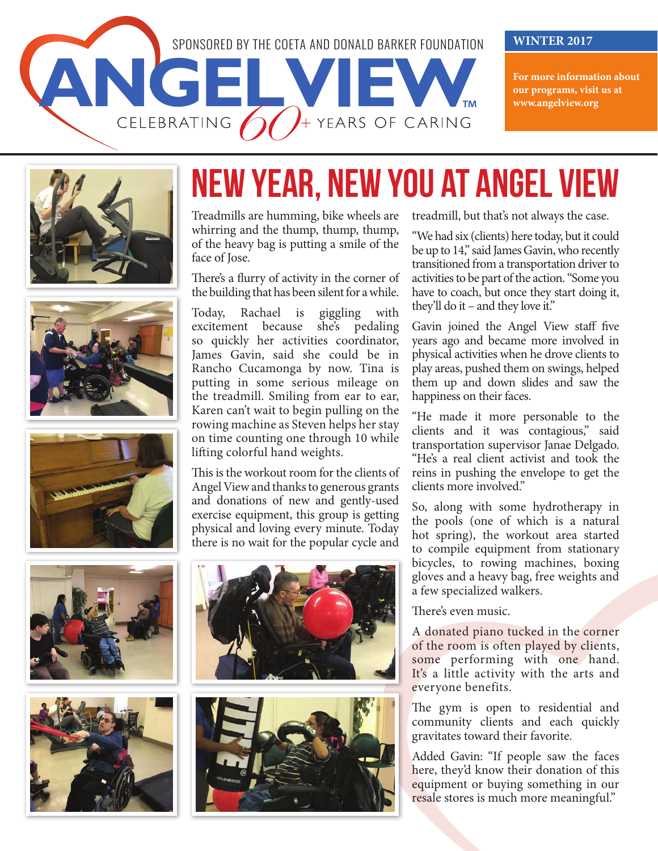

**For more information about our programs, visit us at www.angelview.org**











## NEW YEAR, NEW YOU AT ANGEL VIEW

Treadmills are humming, bike wheels are whirring and the thump, thump, thump, of the heavy bag is putting a smile of the face of Jose.

There's a flurry of activity in the corner of the building that has been silent for a while.

Today, Rachael is giggling with excitement because she's pedaling so quickly her activities coordinator, James Gavin, said she could be in Rancho Cucamonga by now. Tina is putting in some serious mileage on the treadmill. Smiling from ear to ear, Karen can't wait to begin pulling on the rowing machine as Steven helps her stay on time counting one through 10 while lifting colorful hand weights.

This is the workout room for the clients of Angel View and thanks to generous grants and donations of new and gently-used exercise equipment, this group is getting physical and loving every minute. Today there is no wait for the popular cycle and





treadmill, but that's not always the case.

"We had six (clients) here today, but it could be up to 14," said James Gavin, who recently transitioned from a transportation driver to activities to be part of the action. "Some you have to coach, but once they start doing it, they'll do it – and they love it."

Gavin joined the Angel View staff five years ago and became more involved in physical activities when he drove clients to play areas, pushed them on swings, helped them up and down slides and saw the happiness on their faces.

"He made it more personable to the clients and it was contagious," said transportation supervisor Janae Delgado. "He's a real client activist and took the reins in pushing the envelope to get the clients more involved."

So, along with some hydrotherapy in the pools (one of which is a natural hot spring), the workout area started to compile equipment from stationary bicycles, to rowing machines, boxing gloves and a heavy bag, free weights and a few specialized walkers.

There's even music.

A donated piano tucked in the corner of the room is often played by clients, some performing with one hand. It's a little activity with the arts and everyone benefits.

The gym is open to residential and community clients and each quickly gravitates toward their favorite.

Added Gavin: "If people saw the faces here, they'd know their donation of this equipment or buying something in our resale stores is much more meaningful."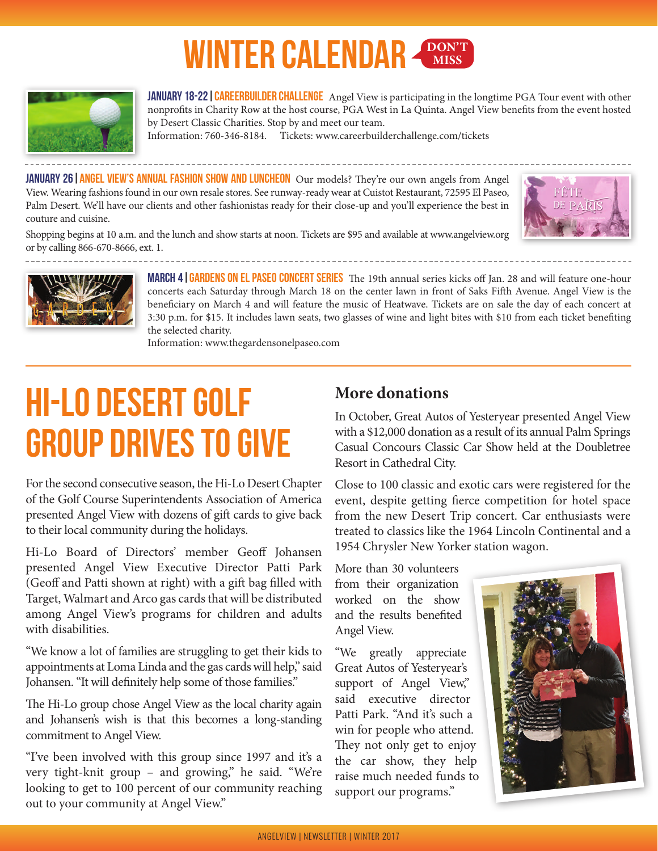### **WINTER CALENDAR**  $\frac{\text{DON}^{\text{T}}}{\text{MISS}}$



JANUARY 18-22 | CAREERBUILDER CHALLENGE Angel View is participating in the longtime PGA Tour event with other nonprofits in Charity Row at the host course, PGA West in La Quinta. Angel View benefits from the event hosted by Desert Classic Charities. Stop by and meet our team.

Information: 760-346-8184. Tickets: www.careerbuilderchallenge.com/tickets

JANUARY 26 | ANGEL VIEW'S ANNUAL FASHION SHOW AND LUNCHEON Our models? They're our own angels from Angel View. Wearing fashions found in our own resale stores. See runway-ready wear at Cuistot Restaurant, 72595 El Paseo, Palm Desert. We'll have our clients and other fashionistas ready for their close-up and you'll experience the best in couture and cuisine.



Shopping begins at 10 a.m. and the lunch and show starts at noon. Tickets are \$95 and available at www.angelview.org or by calling 866-670-8666, ext. 1.



MARCH 4 | GARDENS ON EL PASEO CONCERT SERIES The 19th annual series kicks off Jan. 28 and will feature one-hour concerts each Saturday through March 18 on the center lawn in front of Saks Fifth Avenue. Angel View is the beneficiary on March 4 and will feature the music of Heatwave. Tickets are on sale the day of each concert at 3:30 p.m. for \$15. It includes lawn seats, two glasses of wine and light bites with \$10 from each ticket benefiting the selected charity.

Information: www.thegardensonelpaseo.com

### HI-LO DESERT GOLF GROUP DRIVES TO GIVE

For the second consecutive season, the Hi-Lo Desert Chapter of the Golf Course Superintendents Association of America presented Angel View with dozens of gift cards to give back to their local community during the holidays.

Hi-Lo Board of Directors' member Geoff Johansen presented Angel View Executive Director Patti Park (Geoff and Patti shown at right) with a gift bag filled with Target, Walmart and Arco gas cards that will be distributed among Angel View's programs for children and adults with disabilities.

"We know a lot of families are struggling to get their kids to appointments at Loma Linda and the gas cards will help," said Johansen. "It will definitely help some of those families."

The Hi-Lo group chose Angel View as the local charity again and Johansen's wish is that this becomes a long-standing commitment to Angel View.

"I've been involved with this group since 1997 and it's a very tight-knit group – and growing," he said. "We're looking to get to 100 percent of our community reaching out to your community at Angel View."

### **More donations**

In October, Great Autos of Yesteryear presented Angel View with a \$12,000 donation as a result of its annual Palm Springs Casual Concours Classic Car Show held at the Doubletree Resort in Cathedral City.

Close to 100 classic and exotic cars were registered for the event, despite getting fierce competition for hotel space from the new Desert Trip concert. Car enthusiasts were treated to classics like the 1964 Lincoln Continental and a 1954 Chrysler New Yorker station wagon.

More than 30 volunteers from their organization worked on the show and the results benefited Angel View.

"We greatly appreciate Great Autos of Yesteryear's support of Angel View," said executive director Patti Park. "And it's such a win for people who attend. They not only get to enjoy the car show, they help raise much needed funds to support our programs."

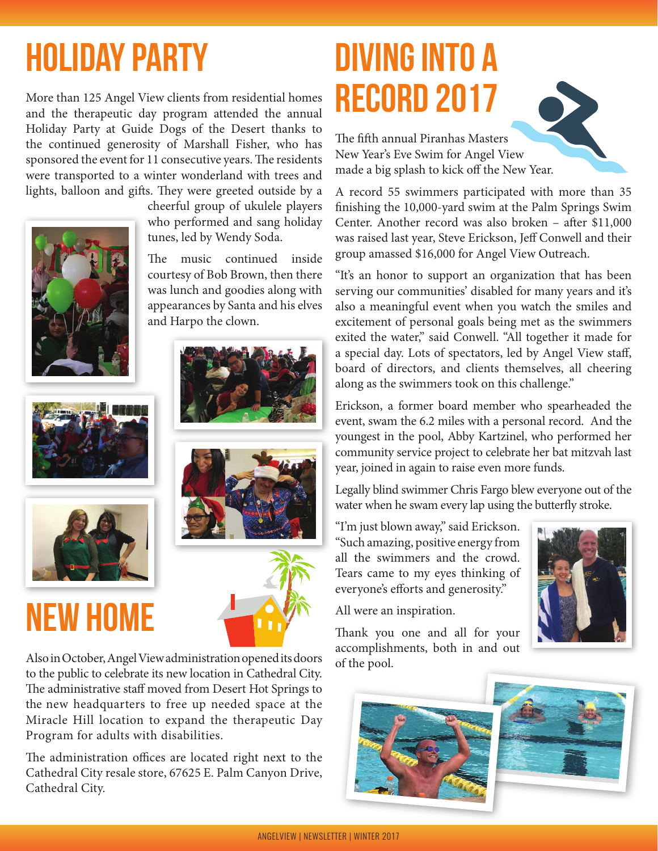# HOLIDAY PARTY

More than 125 Angel View clients from residential homes and the therapeutic day program attended the annual Holiday Party at Guide Dogs of the Desert thanks to the continued generosity of Marshall Fisher, who has sponsored the event for 11 consecutive years. The residents were transported to a winter wonderland with trees and lights, balloon and gifts. They were greeted outside by a



cheerful group of ukulele players who performed and sang holiday tunes, led by Wendy Soda.

The music continued inside courtesy of Bob Brown, then there was lunch and goodies along with appearances by Santa and his elves and Harpo the clown.





### NEW HOME





Also in October, Angel View administration opened its doors to the public to celebrate its new location in Cathedral City. The administrative staff moved from Desert Hot Springs to the new headquarters to free up needed space at the Miracle Hill location to expand the therapeutic Day Program for adults with disabilities.

The administration offices are located right next to the Cathedral City resale store, 67625 E. Palm Canyon Drive, Cathedral City.

## DIVING INTO A RECORD 2017

The fifth annual Piranhas Masters New Year's Eve Swim for Angel View made a big splash to kick off the New Year.

A record 55 swimmers participated with more than 35 finishing the 10,000-yard swim at the Palm Springs Swim Center. Another record was also broken – after \$11,000 was raised last year, Steve Erickson, Jeff Conwell and their group amassed \$16,000 for Angel View Outreach.

"It's an honor to support an organization that has been serving our communities' disabled for many years and it's also a meaningful event when you watch the smiles and excitement of personal goals being met as the swimmers exited the water," said Conwell. "All together it made for a special day. Lots of spectators, led by Angel View staff, board of directors, and clients themselves, all cheering along as the swimmers took on this challenge."

Erickson, a former board member who spearheaded the event, swam the 6.2 miles with a personal record. And the youngest in the pool, Abby Kartzinel, who performed her community service project to celebrate her bat mitzvah last year, joined in again to raise even more funds.

Legally blind swimmer Chris Fargo blew everyone out of the water when he swam every lap using the butterfly stroke.

"I'm just blown away," said Erickson. "Such amazing, positive energy from all the swimmers and the crowd. Tears came to my eyes thinking of everyone's efforts and generosity."

All were an inspiration.

Thank you one and all for your accomplishments, both in and out of the pool.